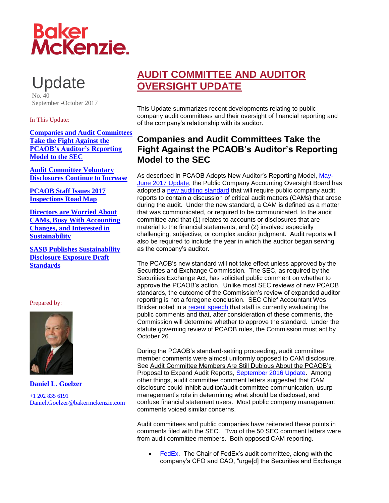# **Baker<br>McKenzie.**

Update No. 40

September -October 2017

#### In This Update:

<span id="page-0-0"></span>**[Companies and Audit Committees](#page-0-0)  [Take the Fight Against the](#page-0-0)  [PCAOB's Auditor's Reporting](#page-0-0)  [Model to the SEC](#page-0-0)**

**[Audit Committee Voluntary](#page-3-0)  [Disclosures Continue to Increase](#page-3-0)**

**[PCAOB Staff Issues 2017](#page-5-0)  [Inspections Road Map](#page-5-0)**

**[Directors are Worried About](#page-8-0)  [CAMs, Busy With Accounting](#page-8-0)  [Changes, and Interested in](#page-8-0)  [Sustainability](#page-8-0)**

**[SASB Publishes Sustainability](#page-9-0)  [Disclosure Exposure Draft](#page-9-0) [Standards](#page-9-0)**

#### Prepared by:



**Daniel L. Goelzer** +1 202 835 6191 [Daniel.Goelzer@bakermckenzie.com](mailto:Daniel.Goelzer@bakermckenzie.com)

## **AUDIT COMMITTEE AND AUDITOR OVERSIGHT UPDATE**

This Update summarizes recent developments relating to public company audit committees and their oversight of financial reporting and of the company's relationship with its auditor.

## **Companies and Audit Committees Take the Fight Against the PCAOB's Auditor's Reporting Model to the SEC**

As described in PCAOB Adopts New Auditor's Reporting Model, [May-](http://www.bakermckenzie.com/-/media/files/insight/publications/2017/06/nl_na_auditupdate_jun17.pdf?la=en)[June 2017 Update,](http://www.bakermckenzie.com/-/media/files/insight/publications/2017/06/nl_na_auditupdate_jun17.pdf?la=en) the Public Company Accounting Oversight Board has adopted a [new auditing standard](https://pcaobus.org/Rulemaking/Docket034/2017-001-auditors-report-final-rule.pdf) that will require public company audit reports to contain a discussion of critical audit matters (CAMs) that arose during the audit. Under the new standard, a CAM is defined as a matter that was communicated, or required to be communicated, to the audit committee and that (1) relates to accounts or disclosures that are material to the financial statements, and (2) involved especially challenging, subjective, or complex auditor judgment. Audit reports will also be required to include the year in which the auditor began serving as the company's auditor.

The PCAOB's new standard will not take effect unless approved by the Securities and Exchange Commission. The SEC, as required by the Securities Exchange Act, has solicited public comment on whether to approve the PCAOB's action. Unlike most SEC reviews of new PCAOB standards, the outcome of the Commission's review of expanded auditor reporting is not a foregone conclusion. SEC Chief Accountant Wes Bricker noted in a [recent speech](https://www.sec.gov/news/speech/speech-bricker-2017-09-011) that staff is currently evaluating the public comments and that, after consideration of these comments, the Commission will determine whether to approve the standard. Under the statute governing review of PCAOB rules, the Commission must act by October 26.

During the PCAOB's standard-setting proceeding, audit committee member comments were almost uniformly opposed to CAM disclosure. See Audit Committee Members Are Still Dubious About the PCAOB's Proposal to Expand Audit Reports, [September 2016 Update.](http://www.bakermckenzie.com/-/media/files/insight/publications/2016/09/audit-committee-auditor-oversight-update/nl_na_auditupdate_sep16.pdf?la=en) Among other things, audit committee comment letters suggested that CAM disclosure could inhibit auditor/audit committee communication, usurp management's role in determining what should be disclosed, and confuse financial statement users. Most public company management comments voiced similar concerns.

Audit committees and public companies have reiterated these points in comments filed with the SEC. Two of the 50 SEC comment letters were from audit committee members. Both opposed CAM reporting.

 [FedEx.](https://www.sec.gov/comments/pcaob-2017-01/pcaob201701-2276856-160999.pdf) The Chair of FedEx's audit committee, along with the company's CFO and CAO, "urge[d] the Securities and Exchange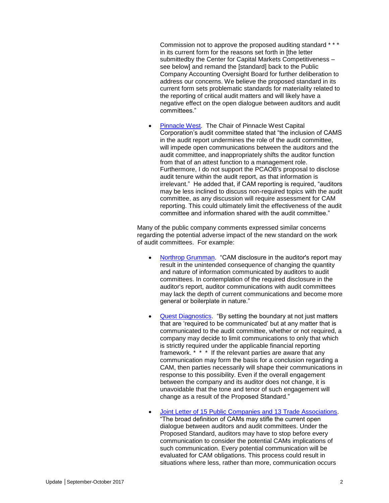Commission not to approve the proposed auditing standard \* \* \* in its current form for the reasons set forth in [the letter submittedby the Center for Capital Markets Competitiveness – see below] and remand the [standard] back to the Public Company Accounting Oversight Board for further deliberation to address our concerns. We believe the proposed standard in its current form sets problematic standards for materiality related to the reporting of critical audit matters and will likely have a negative effect on the open dialogue between auditors and audit committees."

 [Pinnacle West.](https://www.sec.gov/comments/pcaob-2017-01/pcaob201701-2215636-160623.pdf) The Chair of Pinnacle West Capital Corporation's audit committee stated that "the inclusion of CAMS in the audit report undermines the role of the audit committee, will impede open communications between the auditors and the audit committee, and inappropriately shifts the auditor function from that of an attest function to a management role. Furthermore, I do not support the PCAOB's proposal to disclose audit tenure within the audit report, as that information is irrelevant." He added that, if CAM reporting is required, "auditors may be less inclined to discuss non-required topics with the audit committee, as any discussion will require assessment for CAM reporting. This could ultimately limit the effectiveness of the audit committee and information shared with the audit committee."

Many of the public company comments expressed similar concerns regarding the potential adverse impact of the new standard on the work of audit committees. For example:

- [Northrop Grumman.](https://www.sec.gov/comments/pcaob-2017-01/pcaob201701-2228213-160806.pdf) "CAM disclosure in the auditor's report may result in the unintended consequence of changing the quantity and nature of information communicated by auditors to audit committees. In contemplation of the required disclosure in the auditor's report, auditor communications with audit committees may lack the depth of current communications and become more general or boilerplate in nature."
- [Quest Diagnostics.](https://www.sec.gov/comments/pcaob-2017-01/pcaob201701-2221811-160734.pdf) "By setting the boundary at not just matters that are 'required to be communicated' but at any matter that is communicated to the audit committee, whether or not required, a company may decide to limit communications to only that which is strictly required under the applicable financial reporting framework. \* \* \* If the relevant parties are aware that any communication may form the basis for a conclusion regarding a CAM, then parties necessarily will shape their communications in response to this possibility. Even if the overall engagement between the company and its auditor does not change, it is unavoidable that the tone and tenor of such engagement will change as a result of the Proposed Standard."
- [Joint Letter of 15 Public Companies and 13 Trade Associations.](https://www.sec.gov/comments/pcaob-2017-01/pcaob201701-2228364-160809.pdf) "The broad definition of CAMs may stifle the current open dialogue between auditors and audit committees. Under the Proposed Standard, auditors may have to stop before every communication to consider the potential CAMs implications of such communication. Every potential communication will be evaluated for CAM obligations. This process could result in situations where less, rather than more, communication occurs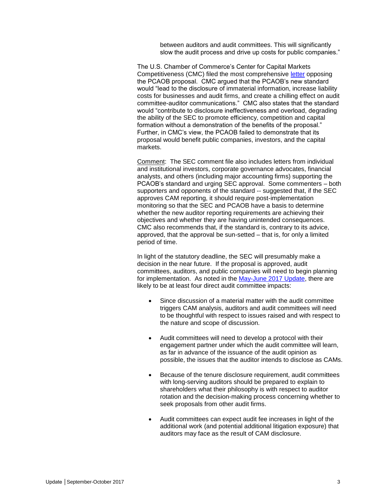between auditors and audit committees. This will significantly slow the audit process and drive up costs for public companies."

The U.S. Chamber of Commerce's Center for Capital Markets Competitiveness (CMC) filed the most comprehensive [letter](https://www.sec.gov/comments/pcaob-2017-01/pcaob201701-2214850-160612.pdf) opposing the PCAOB proposal. CMC argued that the PCAOB's new standard would "lead to the disclosure of immaterial information, increase liability costs for businesses and audit firms, and create a chilling effect on audit committee-auditor communications." CMC also states that the standard would "contribute to disclosure ineffectiveness and overload, degrading the ability of the SEC to promote efficiency, competition and capital formation without a demonstration of the benefits of the proposal." Further, in CMC's view, the PCAOB failed to demonstrate that its proposal would benefit public companies, investors, and the capital markets.

Comment: The SEC comment file also includes letters from individual and institutional investors, corporate governance advocates, financial analysts, and others (including major accounting firms) supporting the PCAOB's standard and urging SEC approval. Some commenters – both supporters and opponents of the standard -- suggested that, if the SEC approves CAM reporting, it should require post-implementation monitoring so that the SEC and PCAOB have a basis to determine whether the new auditor reporting requirements are achieving their objectives and whether they are having unintended consequences. CMC also recommends that, if the standard is, contrary to its advice, approved, that the approval be sun-setted – that is, for only a limited period of time.

In light of the statutory deadline, the SEC will presumably make a decision in the near future. If the proposal is approved, audit committees, auditors, and public companies will need to begin planning for implementation. As noted in the [May-June 2017 Update,](http://www.bakermckenzie.com/-/media/files/insight/publications/2017/06/nl_na_auditupdate_jun17.pdf?la=en) there are likely to be at least four direct audit committee impacts:

- Since discussion of a material matter with the audit committee triggers CAM analysis, auditors and audit committees will need to be thoughtful with respect to issues raised and with respect to the nature and scope of discussion.
- Audit committees will need to develop a protocol with their engagement partner under which the audit committee will learn, as far in advance of the issuance of the audit opinion as possible, the issues that the auditor intends to disclose as CAMs.
- Because of the tenure disclosure requirement, audit committees with long-serving auditors should be prepared to explain to shareholders what their philosophy is with respect to auditor rotation and the decision-making process concerning whether to seek proposals from other audit firms.
- Audit committees can expect audit fee increases in light of the additional work (and potential additional litigation exposure) that auditors may face as the result of CAM disclosure.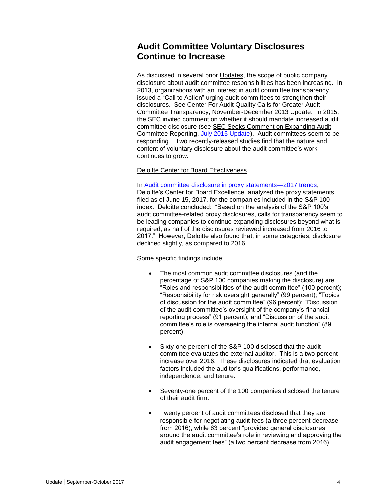### <span id="page-3-0"></span>**Audit Committee Voluntary Disclosures Continue to Increase**

As discussed in several prior Updates, the scope of public company disclosure about audit committee responsibilities has been increasing. In 2013, organizations with an interest in audit committee transparency issued a "Call to Action" urging audit committees to strengthen their disclosures. See Center For Audit Quality Calls for Greater Audit Committee Transparency, November-December 2013 Update. In 2015, the SEC invited comment on whether it should mandate increased audit committee disclosure (see SEC Seeks Comment on Expanding Audit Committee Reporting, [July 2015 Update\)](http://www.bakermckenzie.com/-/media/files/insight/publications/2015/07/july-audit/nl_washingtondc_auditupdate22_jul15.pdf?la=en). Audit committees seem to be responding. Two recently-released studies find that the nature and content of voluntary disclosure about the audit committee's work continues to grow.

#### Deloitte Center for Board Effectiveness

In [Audit committee disclosure in proxy statements—2017 trends,](https://higherlogicdownload.s3.amazonaws.com/GOVERNANCEPROFESSIONALS/a8892c7c-6297-4149-b9fc-378577d0b150/UploadedImages/Alert%20PDF) Deloitte's Center for Board Excellence analyzed the proxy statements filed as of June 15, 2017, for the companies included in the S&P 100 index. Deloitte concluded: "Based on the analysis of the S&P 100's audit committee-related proxy disclosures, calls for transparency seem to be leading companies to continue expanding disclosures beyond what is required, as half of the disclosures reviewed increased from 2016 to 2017." However, Deloitte also found that, in some categories, disclosure declined slightly, as compared to 2016.

Some specific findings include:

- The most common audit committee disclosures (and the percentage of S&P 100 companies making the disclosure) are "Roles and responsibilities of the audit committee" (100 percent); "Responsibility for risk oversight generally" (99 percent); "Topics of discussion for the audit committee" (96 percent); "Discussion of the audit committee's oversight of the company's financial reporting process" (91 percent); and "Discussion of the audit committee's role is overseeing the internal audit function" (89 percent).
- Sixty-one percent of the S&P 100 disclosed that the audit committee evaluates the external auditor. This is a two percent increase over 2016. These disclosures indicated that evaluation factors included the auditor's qualifications, performance, independence, and tenure.
- Seventy-one percent of the 100 companies disclosed the tenure of their audit firm.
- Twenty percent of audit committees disclosed that they are responsible for negotiating audit fees (a three percent decrease from 2016), while 63 percent "provided general disclosures around the audit committee's role in reviewing and approving the audit engagement fees" (a two percent decrease from 2016).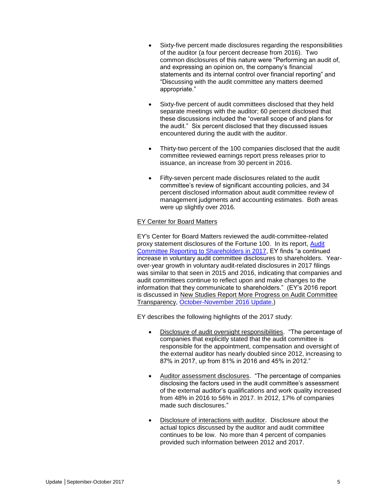- Sixty-five percent made disclosures regarding the responsibilities of the auditor (a four percent decrease from 2016). Two common disclosures of this nature were "Performing an audit of, and expressing an opinion on, the company's financial statements and its internal control over financial reporting" and "Discussing with the audit committee any matters deemed appropriate."
- Sixty-five percent of audit committees disclosed that they held separate meetings with the auditor; 60 percent disclosed that these discussions included the "overall scope of and plans for the audit." Six percent disclosed that they discussed issues encountered during the audit with the auditor.
- Thirty-two percent of the 100 companies disclosed that the audit committee reviewed earnings report press releases prior to issuance, an increase from 30 percent in 2016.
- Fifty-seven percent made disclosures related to the audit committee's review of significant accounting policies, and 34 percent disclosed information about audit committee review of management judgments and accounting estimates. Both areas were up slightly over 2016.

#### EY Center for Board Matters

EY's Center for Board Matters reviewed the audit-committee-related proxy statement disclosures of the Fortune 100. In its report, [Audit](https://urldefense.proofpoint.com/v2/url?u=http-3A__SCSGP.informz.net_z_cjUucD9taT02MzAwNDc4JnA9MSZ1PTg0MTIyODU1OCZsaT00NDk3MzY5OA_index.html&d=DwMBaQ&c=ptMoEJ5oTofwe4L9tBtGCQ&r=DwC-fNM0Z0MJomaidmb36Kv6f272g5xIWY65Iq_AfVE&m=5IJAOYPz9vgGGiwR9NGb7jtDVeaduX73ZjW6hLlEQWE&s=wC3uqcoE0SA-qW_ztI4knHx_1ZRZqIQXicyt7YiZ_CA&e=)  [Committee Reporting to Shareholders in 2017,](https://urldefense.proofpoint.com/v2/url?u=http-3A__SCSGP.informz.net_z_cjUucD9taT02MzAwNDc4JnA9MSZ1PTg0MTIyODU1OCZsaT00NDk3MzY5OA_index.html&d=DwMBaQ&c=ptMoEJ5oTofwe4L9tBtGCQ&r=DwC-fNM0Z0MJomaidmb36Kv6f272g5xIWY65Iq_AfVE&m=5IJAOYPz9vgGGiwR9NGb7jtDVeaduX73ZjW6hLlEQWE&s=wC3uqcoE0SA-qW_ztI4knHx_1ZRZqIQXicyt7YiZ_CA&e=) EY finds "a continued increase in voluntary audit committee disclosures to shareholders. Yearover-year growth in voluntary audit-related disclosures in 2017 filings was similar to that seen in 2015 and 2016, indicating that companies and audit committees continue to reflect upon and make changes to the information that they communicate to shareholders." (EY's 2016 report is discussed in New Studies Report More Progress on Audit Committee Transparency, [October-November 2016 Update.\)](http://www.bakermckenzie.com/-/media/files/insight/publications/2016/11/audit-committee-and-auditor-oversight-update/nl_na_auditupdate33_octnov16.pdf?la=en)

EY describes the following highlights of the 2017 study:

- Disclosure of audit oversight responsibilities. "The percentage of companies that explicitly stated that the audit committee is responsible for the appointment, compensation and oversight of the external auditor has nearly doubled since 2012, increasing to 87% in 2017, up from 81% in 2016 and 45% in 2012."
- Auditor assessment disclosures. "The percentage of companies disclosing the factors used in the audit committee's assessment of the external auditor's qualifications and work quality increased from 48% in 2016 to 56% in 2017. In 2012, 17% of companies made such disclosures."
- Disclosure of interactions with auditor. Disclosure about the actual topics discussed by the auditor and audit committee continues to be low. No more than 4 percent of companies provided such information between 2012 and 2017.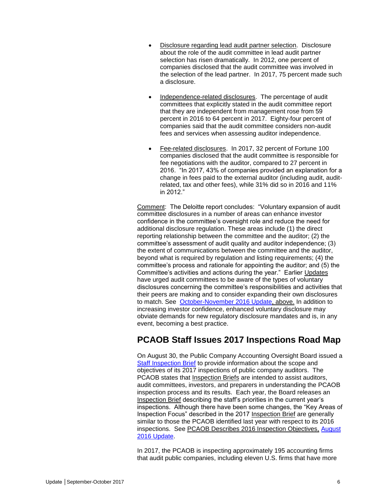- Disclosure regarding lead audit partner selection. Disclosure about the role of the audit committee in lead audit partner selection has risen dramatically. In 2012, one percent of companies disclosed that the audit committee was involved in the selection of the lead partner. In 2017, 75 percent made such a disclosure.
- Independence-related disclosures. The percentage of audit committees that explicitly stated in the audit committee report that they are independent from management rose from 59 percent in 2016 to 64 percent in 2017. Eighty-four percent of companies said that the audit committee considers non-audit fees and services when assessing auditor independence.
- Fee-related disclosures. In 2017, 32 percent of Fortune 100 companies disclosed that the audit committee is responsible for fee negotiations with the auditor, compared to 27 percent in 2016. "In 2017, 43% of companies provided an explanation for a change in fees paid to the external auditor (including audit, auditrelated, tax and other fees), while 31% did so in 2016 and 11% in 2012."

Comment: The Deloitte report concludes: "Voluntary expansion of audit committee disclosures in a number of areas can enhance investor confidence in the committee's oversight role and reduce the need for additional disclosure regulation. These areas include (1) the direct reporting relationship between the committee and the auditor; (2) the committee's assessment of audit quality and auditor independence; (3) the extent of communications between the committee and the auditor, beyond what is required by regulation and listing requirements; (4) the committee's process and rationale for appointing the auditor; and (5) the Committee's activities and actions during the year." Earlier Updates have urged audit committees to be aware of the types of voluntary disclosures concerning the committee's responsibilities and activities that their peers are making and to consider expanding their own disclosures to match. See [October-November 2016 Update,](http://www.bakermckenzie.com/-/media/files/insight/publications/2016/11/audit-committee-and-auditor-oversight-update/nl_na_auditupdate33_octnov16.pdf?la=en) above. In addition to increasing investor confidence, enhanced voluntary disclosure may obviate demands for new regulatory disclosure mandates and is, in any event, becoming a best practice.

## <span id="page-5-0"></span>**PCAOB Staff Issues 2017 Inspections Road Map**

On August 30, the Public Company Accounting Oversight Board issued a [Staff Inspection Brief](https://pcaobus.org/Inspections/Documents/inspection-brief-2017-3-issuer-scope.pdf) to provide information about the scope and objectives of its 2017 inspections of public company auditors. The PCAOB states that Inspection Briefs are intended to assist auditors, audit committees, investors, and preparers in understanding the PCAOB inspection process and its results. Each year, the Board releases an Inspection Brief describing the staff's priorities in the current year's inspections. Although there have been some changes, the "Key Areas of Inspection Focus" described in the 2017 Inspection Brief are generally similar to those the PCAOB identified last year with respect to its 2016 inspections. See PCAOB Describes 2016 Inspection Objectives, [August](http://www.bakermckenzie.com/-/media/files/insight/publications/2016/08/audit-committee-and-auditor-oversight-committee/nl_na_auditupdate_aug16.pdf?la=en)  [2016 Update.](http://www.bakermckenzie.com/-/media/files/insight/publications/2016/08/audit-committee-and-auditor-oversight-committee/nl_na_auditupdate_aug16.pdf?la=en)

In 2017, the PCAOB is inspecting approximately 195 accounting firms that audit public companies, including eleven U.S. firms that have more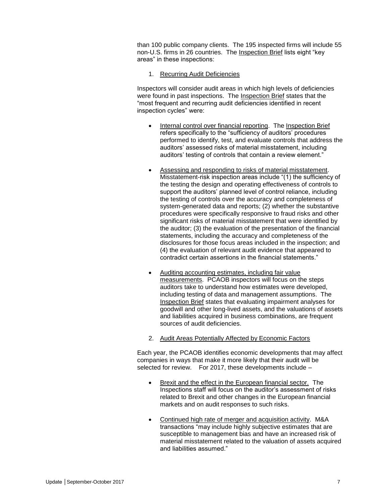than 100 public company clients. The 195 inspected firms will include 55 non-U.S. firms in 26 countries. The Inspection Brief lists eight "key areas" in these inspections:

#### 1. Recurring Audit Deficiencies

Inspectors will consider audit areas in which high levels of deficiencies were found in past inspections. The Inspection Brief states that the "most frequent and recurring audit deficiencies identified in recent inspection cycles" were:

- Internal control over financial reporting. The Inspection Brief refers specifically to the "sufficiency of auditors' procedures performed to identify, test, and evaluate controls that address the auditors' assessed risks of material misstatement, including auditors' testing of controls that contain a review element."
- Assessing and responding to risks of material misstatement. Misstatement-risk inspection areas include "(1) the sufficiency of the testing the design and operating effectiveness of controls to support the auditors' planned level of control reliance, including the testing of controls over the accuracy and completeness of system-generated data and reports; (2) whether the substantive procedures were specifically responsive to fraud risks and other significant risks of material misstatement that were identified by the auditor; (3) the evaluation of the presentation of the financial statements, including the accuracy and completeness of the disclosures for those focus areas included in the inspection; and (4) the evaluation of relevant audit evidence that appeared to contradict certain assertions in the financial statements."
- Auditing accounting estimates, including fair value measurements. PCAOB inspectors will focus on the steps auditors take to understand how estimates were developed, including testing of data and management assumptions. The Inspection Brief states that evaluating impairment analyses for goodwill and other long-lived assets, and the valuations of assets and liabilities acquired in business combinations, are frequent sources of audit deficiencies.
- 2. Audit Areas Potentially Affected by Economic Factors

Each year, the PCAOB identifies economic developments that may affect companies in ways that make it more likely that their audit will be selected for review. For 2017, these developments include –

- Brexit and the effect in the European financial sector. The Inspections staff will focus on the auditor's assessment of risks related to Brexit and other changes in the European financial markets and on audit responses to such risks.
- Continued high rate of merger and acquisition activity. M&A transactions "may include highly subjective estimates that are susceptible to management bias and have an increased risk of material misstatement related to the valuation of assets acquired and liabilities assumed."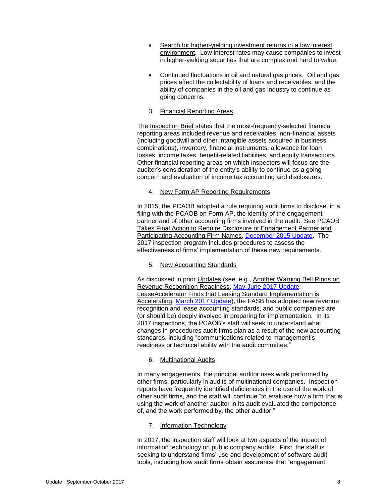- Search for higher-yielding investment returns in a low interest environment. Low interest rates may cause companies to invest in higher-yielding securities that are complex and hard to value.
- Continued fluctuations in oil and natural gas prices. Oil and gas prices affect the collectability of loans and receivables, and the ability of companies in the oil and gas industry to continue as going concerns.
- 3. Financial Reporting Areas

The Inspection Brief states that the most-frequently-selected financial reporting areas included revenue and receivables, non-financial assets (including goodwill and other intangible assets acquired in business combinations), inventory, financial instruments, allowance for loan losses, income taxes, benefit-related liabilities, and equity transactions. Other financial reporting areas on which inspectors will focus are the auditor's consideration of the entity's ability to continue as a going concern and evaluation of income tax accounting and disclosures.

4. New Form AP Reporting Requirements

In 2015, the PCAOB adopted a rule requiring audit firms to disclose, in a filing with the PCAOB on Form AP, the identity of the engagement partner and of other accounting firms involved in the audit. See PCAOB Takes Final Action to Require Disclosure of Engagement Partner and Participating Accounting Firm Names, [December 2015 Update.](http://www.bakermckenzie.com/-/media/files/insight/publications/2015/12/audit-committee/nl_washington_auditupdate_dec15.pdf?la=en) The 2017 inspection program includes procedures to assess the effectiveness of firms' implementation of these new requirements.

5. New Accounting Standards

As discussed in prior Updates (see, e.g., Another Warning Bell Rings on Revenue Recognition Readiness, [May-June 2017 Update;](http://www.bakermckenzie.com/-/media/files/insight/publications/2017/06/nl_na_auditupdate_jun17.pdf?la=en) LeaseAccelerator Finds that Leasing Standard Implementation is Accelerating, [March 2017 Update\)](http://www.bakermckenzie.com/-/media/files/insight/publications/2017/03/al_na_auditupdate_20170330.pdf?la=en), the FASB has adopted new revenue recognition and lease accounting standards, and public companies are (or should be) deeply involved in preparing for implementation. In its 2017 inspections, the PCAOB's staff will seek to understand what changes in procedures audit firms plan as a result of the new accounting standards, including "communications related to management's readiness or technical ability with the audit committee."

6. Multinational Audits

In many engagements, the principal auditor uses work performed by other firms, particularly in audits of multinational companies. Inspection reports have frequently identified deficiencies in the use of the work of other audit firms, and the staff will continue "to evaluate how a firm that is using the work of another auditor in its audit evaluated the competence of, and the work performed by, the other auditor."

#### 7. Information Technology

In 2017, the inspection staff will look at two aspects of the impact of information technology on public company audits. First, the staff is seeking to understand firms' use and development of software audit tools, including how audit firms obtain assurance that "engagement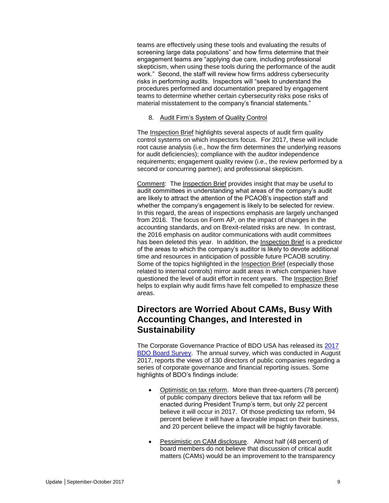teams are effectively using these tools and evaluating the results of screening large data populations" and how firms determine that their engagement teams are "applying due care, including professional skepticism, when using these tools during the performance of the audit work." Second, the staff will review how firms address cybersecurity risks in performing audits. Inspectors will "seek to understand the procedures performed and documentation prepared by engagement teams to determine whether certain cybersecurity risks pose risks of material misstatement to the company's financial statements."

#### 8. Audit Firm's System of Quality Control

The Inspection Brief highlights several aspects of audit firm quality control systems on which inspectors focus. For 2017, these will include root cause analysis (i.e., how the firm determines the underlying reasons for audit deficiencies); compliance with the auditor independence requirements; engagement quality review (i.e., the review performed by a second or concurring partner); and professional skepticism.

Comment: The Inspection Brief provides insight that may be useful to audit committees in understanding what areas of the company's audit are likely to attract the attention of the PCAOB's inspection staff and whether the company's engagement is likely to be selected for review. In this regard, the areas of inspections emphasis are largely unchanged from 2016. The focus on Form AP, on the impact of changes in the accounting standards, and on Brexit-related risks are new. In contrast, the 2016 emphasis on auditor communications with audit committees has been deleted this year. In addition, the Inspection Brief is a predictor of the areas to which the company's auditor is likely to devote additional time and resources in anticipation of possible future PCAOB scrutiny. Some of the topics highlighted in the Inspection Brief (especially those related to internal controls) mirror audit areas in which companies have questioned the level of audit effort in recent years. The Inspection Brief helps to explain why audit firms have felt compelled to emphasize these areas.

## <span id="page-8-0"></span>**Directors are Worried About CAMs, Busy With Accounting Changes, and Interested in Sustainability**

The Corporate Governance Practice of BDO USA has released its [2017](https://www.bdo.com/insights/assurance/corporate-governance/2017-bdo-board-survey/2017-bdo-cyber-governance-survey)  [BDO Board Survey.](https://www.bdo.com/insights/assurance/corporate-governance/2017-bdo-board-survey/2017-bdo-cyber-governance-survey) The annual survey, which was conducted in August 2017, reports the views of 130 directors of public companies regarding a series of corporate governance and financial reporting issues. Some highlights of BDO's findings include:

- Optimistic on tax reform. More than three-quarters (78 percent) of public company directors believe that tax reform will be enacted during President Trump's term, but only 22 percent believe it will occur in 2017. Of those predicting tax reform, 94 percent believe it will have a favorable impact on their business, and 20 percent believe the impact will be highly favorable.
- Pessimistic on CAM disclosure. Almost half (48 percent) of board members do not believe that discussion of critical audit matters (CAMs) would be an improvement to the transparency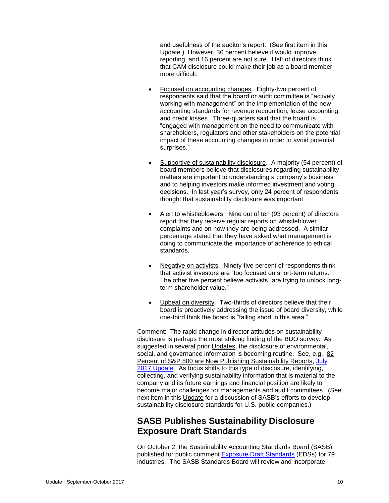and usefulness of the auditor's report. (See first item in this Update.) However, 36 percent believe it would improve reporting, and 16 percent are not sure. Half of directors think that CAM disclosure could make their job as a board member more difficult.

- Focused on accounting changes. Eighty-two percent of respondents said that the board or audit committee is "actively working with management" on the implementation of the new accounting standards for revenue recognition, lease accounting, and credit losses. Three-quarters said that the board is "engaged with management on the need to communicate with shareholders, regulators and other stakeholders on the potential impact of these accounting changes in order to avoid potential surprises."
- Supportive of sustainability disclosure. A majority (54 percent) of board members believe that disclosures regarding sustainability matters are important to understanding a company's business and to helping investors make informed investment and voting decisions. In last year's survey, only 24 percent of respondents thought that sustainability disclosure was important.
- Alert to whistleblowers. Nine out of ten (93 percent) of directors report that they receive regular reports on whistleblower complaints and on how they are being addressed. A similar percentage stated that they have asked what management is doing to communicate the importance of adherence to ethical standards.
- Negative on activists. Ninety-five percent of respondents think that activist investors are "too focused on short-term returns." The other five percent believe activists "are trying to unlock longterm shareholder value."
- Upbeat on diversity. Two-thirds of directors believe that their board is proactively addressing the issue of board diversity, while one-third think the board is "falling short in this area."

Comment: The rapid change in director attitudes on sustainability disclosure is perhaps the most striking finding of the BDO survey. As suggested in several prior Updates, the disclosure of environmental, social, and governance information is becoming routine. See, e.g., 82 Percent of S&P 500 are Now Publishing Sustainability Reports, July [2017 Update.](http://www.bakermckenzie.com/-/media/files/insight/publications/2017/07/nl_na_auditupdate_jul2017.pdf?la=en) As focus shifts to this type of disclosure, identifying, collecting, and verifying sustainability information that is material to the company and its future earnings and financial position are likely to become major challenges for managements and audit committees. (See next item in this Update for a discussion of SASB's efforts to develop sustainability disclosure standards for U.S. public companies.)

## <span id="page-9-0"></span>**SASB Publishes Sustainability Disclosure Exposure Draft Standards**

On October 2, the Sustainability Accounting Standards Board (SASB) published for public comment [Exposure Draft Standards](https://www.sasb.org/standards/exposure-drafts/) (EDSs) for 79 industries. The SASB Standards Board will review and incorporate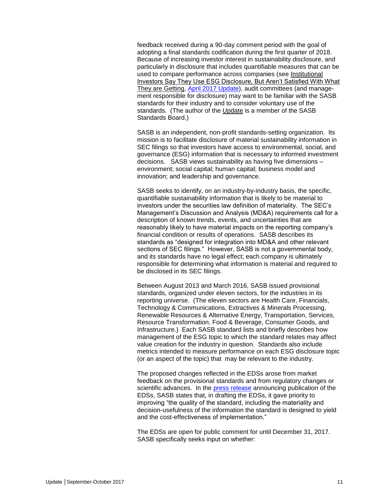feedback received during a 90-day comment period with the goal of adopting a final standards codification during the first quarter of 2018. Because of increasing investor interest in sustainability disclosure, and particularly in disclosure that includes quantifiable measures that can be used to compare performance across companies (see Institutional Investors Say They Use ESG Disclosure, But Aren't Satisfied With What They are Getting, [April 2017 Update\)](http://www.bakermckenzie.com/-/media/files/insight/publications/2017/04/al_na_auditupdate_apr17.pdf?la=en), audit committees (and management responsible for disclosure) may want to be familiar with the SASB standards for their industry and to consider voluntary use of the standards. (The author of the Update is a member of the SASB Standards Board.)

SASB is an independent, non-profit standards-setting organization. Its mission is to facilitate disclosure of material sustainability information in SEC filings so that investors have access to environmental, social, and governance (ESG) information that is necessary to informed investment decisions. SASB views sustainability as having five dimensions – environment; social capital; human capital; business model and innovation; and leadership and governance.

SASB seeks to identify, on an industry-by-industry basis, the specific, quantifiable sustainability information that is likely to be material to investors under the securities law definition of materiality. The SEC's Management's Discussion and Analysis (MD&A) requirements call for a description of known trends, events, and uncertainties that are reasonably likely to have material impacts on the reporting company's financial condition or results of operations. SASB describes its standards as "designed for integration into MD&A and other relevant sections of SEC filings." However, SASB is not a governmental body, and its standards have no legal effect; each company is ultimately responsible for determining what information is material and required to be disclosed in its SEC filings.

Between August 2013 and March 2016, SASB issued provisional standards, organized under eleven sectors, for the industries in its reporting universe. (The eleven sectors are Health Care, Financials, Technology & Communications, Extractives & Minerals Processing, Renewable Resources & Alternative Energy, Transportation, Services, Resource Transformation, Food & Beverage, Consumer Goods, and Infrastructure.) Each SASB standard lists and briefly describes how management of the ESG topic to which the standard relates may affect value creation for the industry in question. Standards also include metrics intended to measure performance on each ESG disclosure topic (or an aspect of the topic) that may be relevant to the industry.

The proposed changes reflected in the EDSs arose from market feedback on the provisional standards and from regulatory changes or scientific advances. In the [press release](http://www.prnewswire.com/news-releases/the-sasb-publishes-exposure-draft-standards-for-comment-300529067.html) announcing publication of the EDSs, SASB states that, in drafting the EDSs, it gave priority to improving "the quality of the standard, including the materiality and decision-usefulness of the information the standard is designed to yield and the cost-effectiveness of implementation."

The EDSs are open for public comment for until December 31, 2017. SASB specifically seeks input on whether: